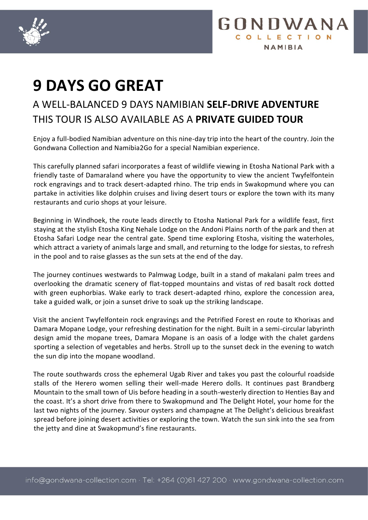



## A WELL-BALANCED 9 DAYS NAMIBIAN **SELF-DRIVE ADVENTURE** THIS TOUR IS ALSO AVAILABLE AS A **PRIVATE GUIDED TOUR**

Enjoy a full-bodied Namibian adventure on this nine-day trip into the heart of the country. Join the Gondwana Collection and Namibia2Go for a special Namibian experience.

This carefully planned safari incorporates a feast of wildlife viewing in Etosha National Park with a friendly taste of Damaraland where you have the opportunity to view the ancient Twyfelfontein rock engravings and to track desert-adapted rhino. The trip ends in Swakopmund where you can partake in activities like dolphin cruises and living desert tours or explore the town with its many restaurants and curio shops at your leisure.

Beginning in Windhoek, the route leads directly to Etosha National Park for a wildlife feast, first staying at the stylish Etosha King Nehale Lodge on the Andoni Plains north of the park and then at Etosha Safari Lodge near the central gate. Spend time exploring Etosha, visiting the waterholes, which attract a variety of animals large and small, and returning to the lodge for siestas, to refresh in the pool and to raise glasses as the sun sets at the end of the day.

The journey continues westwards to Palmwag Lodge, built in a stand of makalani palm trees and overlooking the dramatic scenery of flat-topped mountains and vistas of red basalt rock dotted with green euphorbias. Wake early to track desert-adapted rhino, explore the concession area, take a guided walk, or join a sunset drive to soak up the striking landscape.

Visit the ancient Twyfelfontein rock engravings and the Petrified Forest en route to Khorixas and Damara Mopane Lodge, your refreshing destination for the night. Built in a semi-circular labyrinth design amid the mopane trees, Damara Mopane is an oasis of a lodge with the chalet gardens sporting a selection of vegetables and herbs. Stroll up to the sunset deck in the evening to watch the sun dip into the mopane woodland.

The route southwards cross the ephemeral Ugab River and takes you past the colourful roadside stalls of the Herero women selling their well-made Herero dolls. It continues past Brandberg Mountain to the small town of Uis before heading in a south-westerly direction to Henties Bay and the coast. It's a short drive from there to Swakopmund and The Delight Hotel, your home for the last two nights of the journey. Savour oysters and champagne at The Delight's delicious breakfast spread before joining desert activities or exploring the town. Watch the sun sink into the sea from the jetty and dine at Swakopmund's fine restaurants.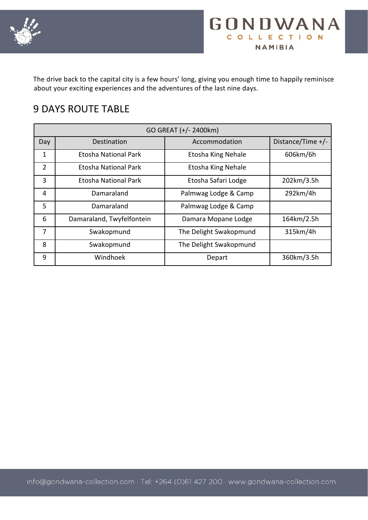



The drive back to the capital city is a few hours' long, giving you enough time to happily reminisce about your exciting experiences and the adventures of the last nine days.

### 9 DAYS ROUTE TABLE

| GO GREAT (+/- 2400km) |                             |                           |                   |  |  |
|-----------------------|-----------------------------|---------------------------|-------------------|--|--|
| Day                   | Destination                 | Accommodation             | Distance/Time +/- |  |  |
| $\mathbf{1}$          | <b>Etosha National Park</b> | <b>Etosha King Nehale</b> | 606km/6h          |  |  |
| $\overline{2}$        | Etosha National Park        | <b>Etosha King Nehale</b> |                   |  |  |
| 3                     | Etosha National Park        | Etosha Safari Lodge       | 202km/3.5h        |  |  |
| 4                     | Damaraland                  | Palmwag Lodge & Camp      | 292km/4h          |  |  |
| 5                     | Damaraland                  | Palmwag Lodge & Camp      |                   |  |  |
| 6                     | Damaraland, Twyfelfontein   | Damara Mopane Lodge       | 164km/2.5h        |  |  |
| 7                     | Swakopmund                  | The Delight Swakopmund    | 315km/4h          |  |  |
| 8                     | Swakopmund                  | The Delight Swakopmund    |                   |  |  |
| 9                     | Windhoek                    | Depart                    | 360km/3.5h        |  |  |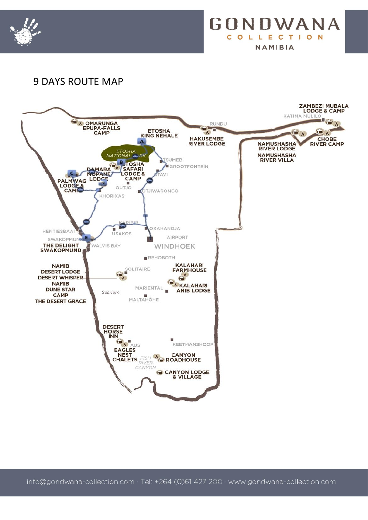



### 9 DAYS ROUTE MAP

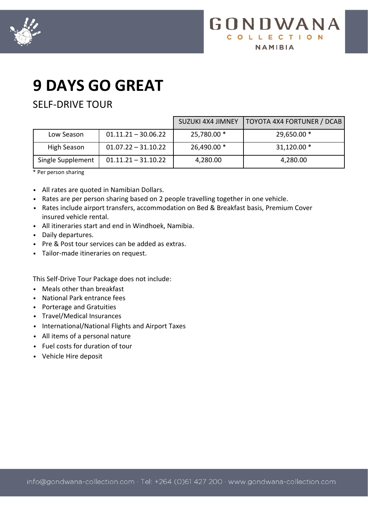



### SELF-DRIVE TOUR

|                   |                       | <b>SUZUKI 4X4 JIMNEY</b> | TOYOTA 4X4 FORTUNER / DCAB |
|-------------------|-----------------------|--------------------------|----------------------------|
| Low Season        | $01.11.21 - 30.06.22$ | 25,780.00 *              | 29,650.00 *                |
| High Season       | $01.07.22 - 31.10.22$ | 26,490.00 *              | $31,120.00*$               |
| Single Supplement | $01.11.21 - 31.10.22$ | 4,280.00                 | 4,280.00                   |

\* Per person sharing

- All rates are quoted in Namibian Dollars.
- Rates are per person sharing based on 2 people travelling together in one vehicle.
- Rates include airport transfers, accommodation on Bed & Breakfast basis, Premium Cover insured vehicle rental.
- All itineraries start and end in Windhoek, Namibia.
- Daily departures.
- Pre & Post tour services can be added as extras.
- Tailor-made itineraries on request.

This Self-Drive Tour Package does not include:

- Meals other than breakfast
- National Park entrance fees
- Porterage and Gratuities
- Travel/Medical Insurances
- International/National Flights and Airport Taxes
- All items of a personal nature
- Fuel costs for duration of tour
- Vehicle Hire deposit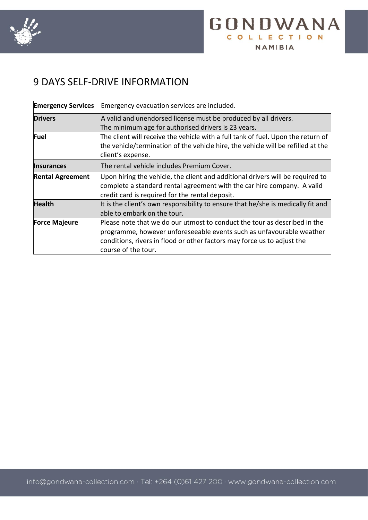



### 9 DAYS SELF-DRIVE INFORMATION

| <b>Emergency Services</b>                                                                                                                                                                         | Emergency evacuation services are included.                                                                                                                                                                                                         |  |  |  |
|---------------------------------------------------------------------------------------------------------------------------------------------------------------------------------------------------|-----------------------------------------------------------------------------------------------------------------------------------------------------------------------------------------------------------------------------------------------------|--|--|--|
| <b>Drivers</b>                                                                                                                                                                                    | A valid and unendorsed license must be produced by all drivers.<br>The minimum age for authorised drivers is 23 years.                                                                                                                              |  |  |  |
| Fuel<br>The client will receive the vehicle with a full tank of fuel. Upon the return of<br>the vehicle/termination of the vehicle hire, the vehicle will be refilled at the<br>client's expense. |                                                                                                                                                                                                                                                     |  |  |  |
| <b>Insurances</b>                                                                                                                                                                                 | The rental vehicle includes Premium Cover.                                                                                                                                                                                                          |  |  |  |
| <b>Rental Agreement</b>                                                                                                                                                                           | Upon hiring the vehicle, the client and additional drivers will be required to<br>complete a standard rental agreement with the car hire company. A valid<br>credit card is required for the rental deposit.                                        |  |  |  |
| <b>Health</b>                                                                                                                                                                                     | It is the client's own responsibility to ensure that he/she is medically fit and<br>able to embark on the tour.                                                                                                                                     |  |  |  |
| <b>Force Majeure</b>                                                                                                                                                                              | Please note that we do our utmost to conduct the tour as described in the<br>programme, however unforeseeable events such as unfavourable weather<br>conditions, rivers in flood or other factors may force us to adjust the<br>course of the tour. |  |  |  |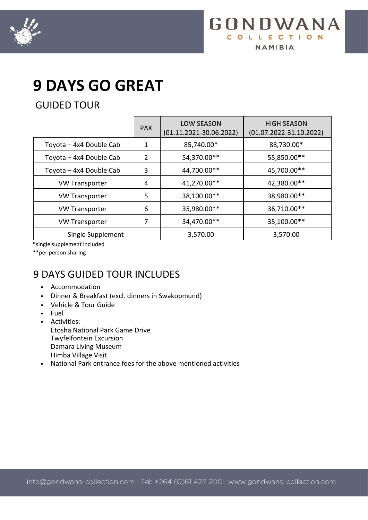



GUIDED TOUR

|                         | <b>PAX</b>     | <b>LOW SEASON</b><br>$(01.11.2021 - 30.06.2022)$ | <b>HIGH SEASON</b><br>$(01.07.2022 - 31.10.2022)$ |
|-------------------------|----------------|--------------------------------------------------|---------------------------------------------------|
| Toyota - 4x4 Double Cab | $\mathbf 1$    | 85,740.00*                                       | 88,730.00*                                        |
| Toyota - 4x4 Double Cab | $\overline{2}$ | 54,370.00**                                      | 55,850.00**                                       |
| Toyota - 4x4 Double Cab | 3              | 44,700.00**                                      | 45,700.00**                                       |
| <b>VW Transporter</b>   | 4              | 41,270.00**                                      | 42,380.00**                                       |
| <b>VW Transporter</b>   | 5              | 38,100.00**                                      | 38,980.00**                                       |
| <b>VW Transporter</b>   | 6              | 35,980.00**                                      | 36,710.00**                                       |
| <b>VW Transporter</b>   | 7              | 34,470.00**                                      | 35,100.00**                                       |
| Single Supplement       |                | 3,570.00                                         | 3,570.00                                          |

\*single supplement included

\*\*per person sharing

## 9 DAYS GUIDED TOUR INCLUDES

- Accommodation
- Dinner & Breakfast (excl. dinners in Swakopmund)
- Vehicle & Tour Guide
- Fuel
- Activities: Etosha National Park Game Drive Twyfelfontein Excursion Damara Living Museum Himba Village Visit
- National Park entrance fees for the above mentioned activities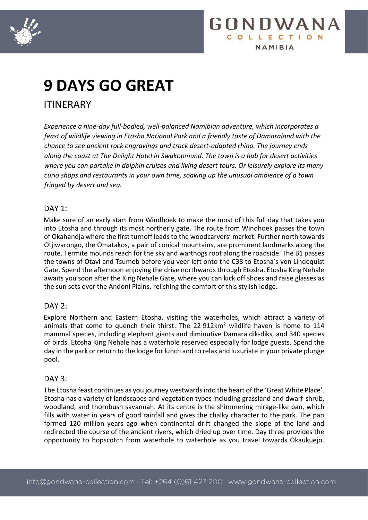



ITINERARY

*Experience a nine-day full-bodied, well-balanced Namibian adventure, which incorporates a feast of wildlife viewing in Etosha National Park and a friendly taste of Damaraland with the chance to see ancient rock engravings and track desert-adapted rhino. The journey ends along the coast at The Delight Hotel in Swakopmund. The town is a hub for desert activities where you can partake in dolphin cruises and living desert tours. Or leisurely explore its many curio shops and restaurants in your own time, soaking up the unusual ambience of a town fringed by desert and sea.*

#### DAY 1:

Make sure of an early start from Windhoek to make the most of this full day that takes you into Etosha and through its most northerly gate. The route from Windhoek passes the town of Okahandja where the first turnoff leads to the woodcarvers' market. Further north towards Otjiwarongo, the Omatakos, a pair of conical mountains, are prominent landmarks along the route. Termite mounds reach for the sky and warthogs root along the roadside. The B1 passes the towns of Otavi and Tsumeb before you veer left onto the C38 to Etosha's von Lindequist Gate. Spend the afternoon enjoying the drive northwards through Etosha. Etosha King Nehale awaits you soon after the King Nehale Gate, where you can kick off shoes and raise glasses as the sun sets over the Andoni Plains, relishing the comfort of this stylish lodge.

#### DAY 2:

Explore Northern and Eastern Etosha, visiting the waterholes, which attract a variety of animals that come to quench their thirst. The 22 912km² wildlife haven is home to 114 mammal species, including elephant giants and diminutive Damara dik-diks, and 340 species of birds. Etosha King Nehale has a waterhole reserved especially for lodge guests. Spend the day in the park or return to the lodge for lunch and to relax and luxuriate in your private plunge pool.

#### DAY 3:

The Etosha feast continues as you journey westwards into the heart of the 'Great White Place'. Etosha has a variety of landscapes and vegetation types including grassland and dwarf-shrub, woodland, and thornbush savannah. At its centre is the shimmering mirage-like pan, which fills with water in years of good rainfall and gives the chalky character to the park. The pan formed 120 million years ago when continental drift changed the slope of the land and redirected the course of the ancient rivers, which dried up over time. Day three provides the opportunity to hopscotch from waterhole to waterhole as you travel towards Okaukuejo.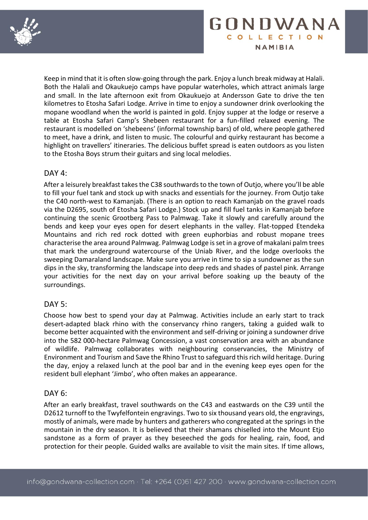



Keep in mind that it is often slow-going through the park. Enjoy a lunch break midway at Halali. Both the Halali and Okaukuejo camps have popular waterholes, which attract animals large and small. In the late afternoon exit from Okaukuejo at Andersson Gate to drive the ten kilometres to Etosha Safari Lodge. Arrive in time to enjoy a sundowner drink overlooking the mopane woodland when the world is painted in gold. Enjoy supper at the lodge or reserve a table at Etosha Safari Camp's Shebeen restaurant for a fun-filled relaxed evening. The restaurant is modelled on 'shebeens' (informal township bars) of old, where people gathered to meet, have a drink, and listen to music. The colourful and quirky restaurant has become a highlight on travellers' itineraries. The delicious buffet spread is eaten outdoors as you listen to the Etosha Boys strum their guitars and sing local melodies.

#### $DAY$  4:

After a leisurely breakfast takes the C38 southwards to the town of Outjo, where you'll be able to fill your fuel tank and stock up with snacks and essentials for the journey. From Outjo take the C40 north-west to Kamanjab. (There is an option to reach Kamanjab on the gravel roads via the D2695, south of Etosha Safari Lodge.) Stock up and fill fuel tanks in Kamanjab before continuing the scenic Grootberg Pass to Palmwag. Take it slowly and carefully around the bends and keep your eyes open for desert elephants in the valley. Flat-topped Etendeka Mountains and rich red rock dotted with green euphorbias and robust mopane trees characterise the area around Palmwag. Palmwag Lodge is set in a grove of makalani palm trees that mark the underground watercourse of the Uniab River, and the lodge overlooks the sweeping Damaraland landscape. Make sure you arrive in time to sip a sundowner as the sun dips in the sky, transforming the landscape into deep reds and shades of pastel pink. Arrange your activities for the next day on your arrival before soaking up the beauty of the surroundings.

#### DAY 5:

Choose how best to spend your day at Palmwag. Activities include an early start to track desert-adapted black rhino with the conservancy rhino rangers, taking a guided walk to become better acquainted with the environment and self-driving or joining a sundowner drive into the 582 000-hectare Palmwag Concession, a vast conservation area with an abundance of wildlife. Palmwag collaborates with neighbouring conservancies, the Ministry of Environment and Tourism and Save the Rhino Trust to safeguard this rich wild heritage. During the day, enjoy a relaxed lunch at the pool bar and in the evening keep eyes open for the resident bull elephant 'Jimbo', who often makes an appearance.

#### DAY 6:

After an early breakfast, travel southwards on the C43 and eastwards on the C39 until the D2612 turnoff to the Twyfelfontein engravings. Two to six thousand years old, the engravings, mostly of animals, were made by hunters and gatherers who congregated at the springs in the mountain in the dry season. It is believed that their shamans chiselled into the Mount Etjo sandstone as a form of prayer as they beseeched the gods for healing, rain, food, and protection for their people. Guided walks are available to visit the main sites. If time allows,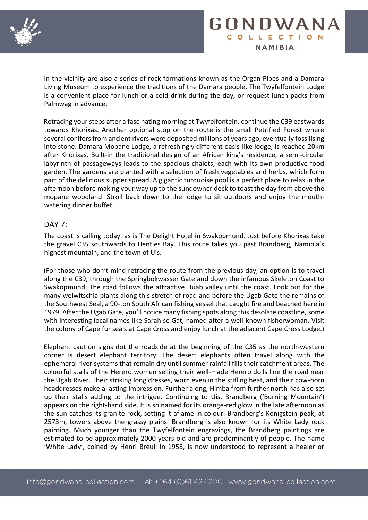



in the vicinity are also a series of rock formations known as the Organ Pipes and a Damara Living Museum to experience the traditions of the Damara people. The Twyfelfontein Lodge is a convenient place for lunch or a cold drink during the day, or request lunch packs from Palmwag in advance.

Retracing your steps after a fascinating morning at Twyfelfontein, continue the C39 eastwards towards Khorixas. Another optional stop on the route is the small Petrified Forest where several conifers from ancient rivers were deposited millions of years ago, eventually fossilising into stone. Damara Mopane Lodge, a refreshingly different oasis-like lodge, is reached 20km after Khorixas. Built-in the traditional design of an African king's residence, a semi-circular labyrinth of passageways leads to the spacious chalets, each with its own productive food garden. The gardens are planted with a selection of fresh vegetables and herbs, which form part of the delicious supper spread. A gigantic turquoise pool is a perfect place to relax in the afternoon before making your way up to the sundowner deck to toast the day from above the mopane woodland. Stroll back down to the lodge to sit outdoors and enjoy the mouthwatering dinner buffet.

#### DAY 7:

The coast is calling today, as is The Delight Hotel in Swakopmund. Just before Khorixas take the gravel C35 southwards to Henties Bay. This route takes you past Brandberg, Namibia's highest mountain, and the town of Uis.

(For those who don't mind retracing the route from the previous day, an option is to travel along the C39, through the Springbokwasser Gate and down the infamous Skeleton Coast to Swakopmund. The road follows the attractive Huab valley until the coast. Look out for the many welwitschia plants along this stretch of road and before the Ugab Gate the remains of the Southwest Seal, a 90-ton South African fishing vessel that caught fire and beached here in 1979. After the Ugab Gate, you'll notice many fishing spots along this desolate coastline, some with interesting local names like Sarah se Gat, named after a well-known fisherwoman. Visit the colony of Cape fur seals at Cape Cross and enjoy lunch at the adjacent Cape Cross Lodge.)

Elephant caution signs dot the roadside at the beginning of the C35 as the north-western corner is desert elephant territory. The desert elephants often travel along with the ephemeral river systems that remain dry until summer rainfall fills their catchment areas. The colourful stalls of the Herero women selling their well-made Herero dolls line the road near the Ugab River. Their striking long dresses, worn even in the stifling heat, and their cow-horn headdresses make a lasting impression. Further along, Himba from further north has also set up their stalls adding to the intrigue. Continuing to Uis, Brandberg ('Burning Mountain') appears on the right-hand side. It is so named for its orange-red glow in the late afternoon as the sun catches its granite rock, setting it aflame in colour. Brandberg's Königstein peak, at 2573m, towers above the grassy plains. Brandberg is also known for its White Lady rock painting. Much younger than the Twyfelfontein engravings, the Brandberg paintings are estimated to be approximately 2000 years old and are predominantly of people. The name 'White Lady', coined by Henri Breuil in 1955, is now understood to represent a healer or